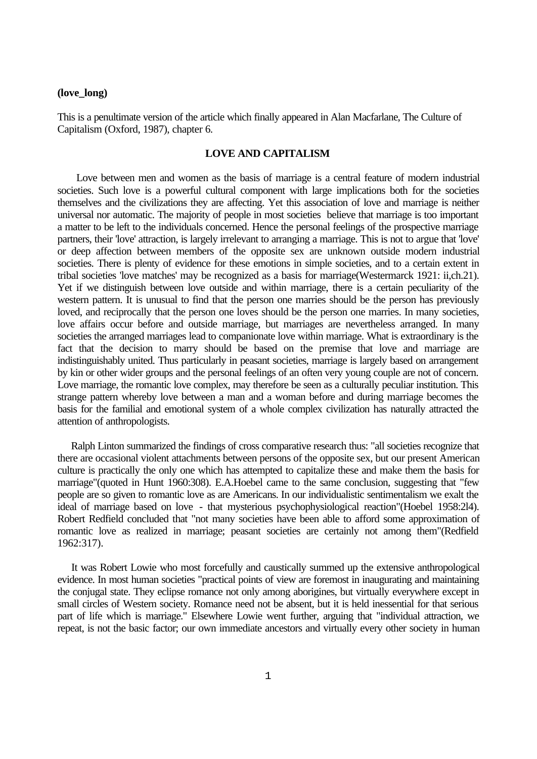## **(love\_long)**

This is a penultimate version of the article which finally appeared in Alan Macfarlane, The Culture of Capitalism (Oxford, 1987), chapter 6.

## **LOVE AND CAPITALISM**

 Love between men and women as the basis of marriage is a central feature of modern industrial societies. Such love is a powerful cultural component with large implications both for the societies themselves and the civilizations they are affecting. Yet this association of love and marriage is neither universal nor automatic. The majority of people in most societies believe that marriage is too important a matter to be left to the individuals concerned. Hence the personal feelings of the prospective marriage partners, their 'love' attraction, is largely irrelevant to arranging a marriage. This is not to argue that 'love' or deep affection between members of the opposite sex are unknown outside modern industrial societies. There is plenty of evidence for these emotions in simple societies, and to a certain extent in tribal societies 'love matches' may be recognized as a basis for marriage(Westermarck 1921: ii,ch.21). Yet if we distinguish between love outside and within marriage, there is a certain peculiarity of the western pattern. It is unusual to find that the person one marries should be the person has previously loved, and reciprocally that the person one loves should be the person one marries. In many societies, love affairs occur before and outside marriage, but marriages are nevertheless arranged. In many societies the arranged marriages lead to companionate love within marriage. What is extraordinary is the fact that the decision to marry should be based on the premise that love and marriage are indistinguishably united. Thus particularly in peasant societies, marriage is largely based on arrangement by kin or other wider groups and the personal feelings of an often very young couple are not of concern. Love marriage, the romantic love complex, may therefore be seen as a culturally peculiar institution. This strange pattern whereby love between a man and a woman before and during marriage becomes the basis for the familial and emotional system of a whole complex civilization has naturally attracted the attention of anthropologists.

 Ralph Linton summarized the findings of cross comparative research thus: "all societies recognize that there are occasional violent attachments between persons of the opposite sex, but our present American culture is practically the only one which has attempted to capitalize these and make them the basis for marriage"(quoted in Hunt 1960:308). E.A.Hoebel came to the same conclusion, suggesting that "few people are so given to romantic love as are Americans. In our individualistic sentimentalism we exalt the ideal of marriage based on love - that mysterious psychophysiological reaction"(Hoebel 1958:2l4). Robert Redfield concluded that "not many societies have been able to afford some approximation of romantic love as realized in marriage; peasant societies are certainly not among them"(Redfield 1962:317).

 It was Robert Lowie who most forcefully and caustically summed up the extensive anthropological evidence. In most human societies "practical points of view are foremost in inaugurating and maintaining the conjugal state. They eclipse romance not only among aborigines, but virtually everywhere except in small circles of Western society. Romance need not be absent, but it is held inessential for that serious part of life which is marriage." Elsewhere Lowie went further, arguing that "individual attraction, we repeat, is not the basic factor; our own immediate ancestors and virtually every other society in human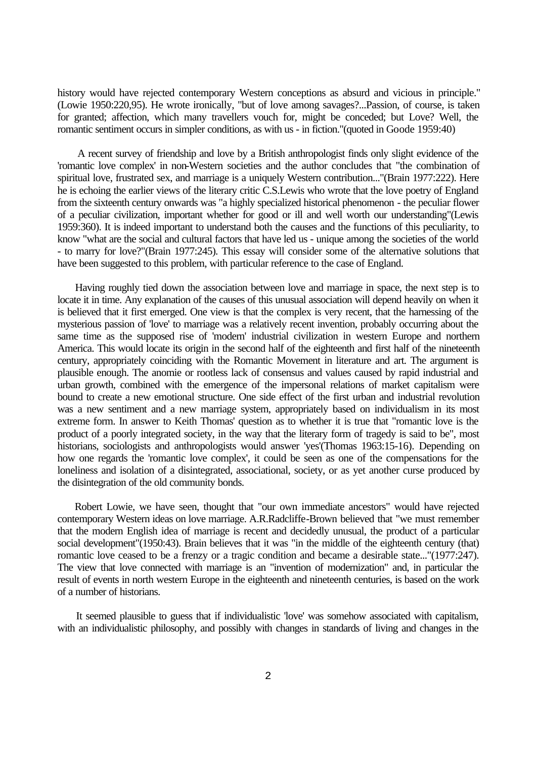history would have rejected contemporary Western conceptions as absurd and vicious in principle." (Lowie 1950:220,95). He wrote ironically, "but of love among savages?...Passion, of course, is taken for granted; affection, which many travellers vouch for, might be conceded; but Love? Well, the romantic sentiment occurs in simpler conditions, as with us - in fiction."(quoted in Goode 1959:40)

 A recent survey of friendship and love by a British anthropologist finds only slight evidence of the 'romantic love complex' in non-Western societies and the author concludes that "the combination of spiritual love, frustrated sex, and marriage is a uniquely Western contribution..."(Brain 1977:222). Here he is echoing the earlier views of the literary critic C.S.Lewis who wrote that the love poetry of England from the sixteenth century onwards was "a highly specialized historical phenomenon - the peculiar flower of a peculiar civilization, important whether for good or ill and well worth our understanding"(Lewis 1959:360). It is indeed important to understand both the causes and the functions of this peculiarity, to know "what are the social and cultural factors that have led us - unique among the societies of the world - to marry for love?"(Brain 1977:245). This essay will consider some of the alternative solutions that have been suggested to this problem, with particular reference to the case of England.

 Having roughly tied down the association between love and marriage in space, the next step is to locate it in time. Any explanation of the causes of this unusual association will depend heavily on when it is believed that it first emerged. One view is that the complex is very recent, that the harnessing of the mysterious passion of 'love' to marriage was a relatively recent invention, probably occurring about the same time as the supposed rise of 'modern' industrial civilization in western Europe and northern America. This would locate its origin in the second half of the eighteenth and first half of the nineteenth century, appropriately coinciding with the Romantic Movement in literature and art. The argument is plausible enough. The anomie or rootless lack of consensus and values caused by rapid industrial and urban growth, combined with the emergence of the impersonal relations of market capitalism were bound to create a new emotional structure. One side effect of the first urban and industrial revolution was a new sentiment and a new marriage system, appropriately based on individualism in its most extreme form. In answer to Keith Thomas' question as to whether it is true that "romantic love is the product of a poorly integrated society, in the way that the literary form of tragedy is said to be", most historians, sociologists and anthropologists would answer 'yes'(Thomas 1963:15-16). Depending on how one regards the 'romantic love complex', it could be seen as one of the compensations for the loneliness and isolation of a disintegrated, associational, society, or as yet another curse produced by the disintegration of the old community bonds.

 Robert Lowie, we have seen, thought that "our own immediate ancestors" would have rejected contemporary Western ideas on love marriage. A.R.Radcliffe-Brown believed that "we must remember that the modern English idea of marriage is recent and decidedly unusual, the product of a particular social development"(1950:43). Brain believes that it was "in the middle of the eighteenth century (that) romantic love ceased to be a frenzy or a tragic condition and became a desirable state..."(1977:247). The view that love connected with marriage is an "invention of modernization" and, in particular the result of events in north western Europe in the eighteenth and nineteenth centuries, is based on the work of a number of historians.

 It seemed plausible to guess that if individualistic 'love' was somehow associated with capitalism, with an individualistic philosophy, and possibly with changes in standards of living and changes in the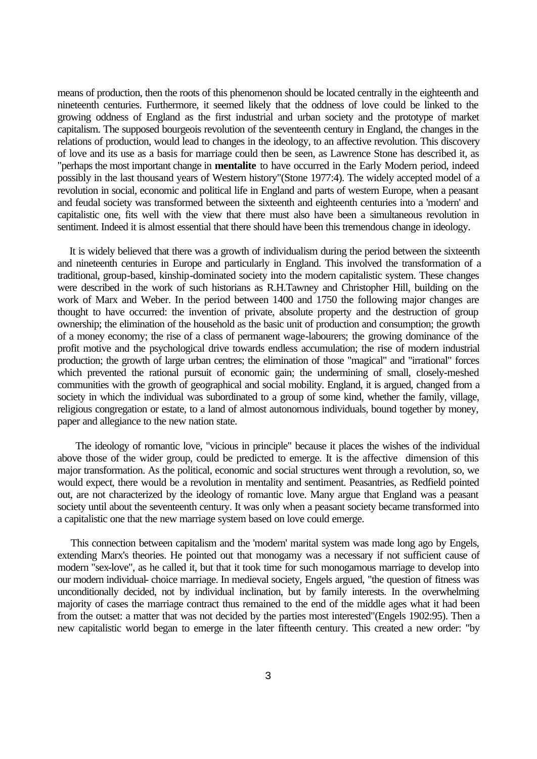means of production, then the roots of this phenomenon should be located centrally in the eighteenth and nineteenth centuries. Furthermore, it seemed likely that the oddness of love could be linked to the growing oddness of England as the first industrial and urban society and the prototype of market capitalism. The supposed bourgeois revolution of the seventeenth century in England, the changes in the relations of production, would lead to changes in the ideology, to an affective revolution. This discovery of love and its use as a basis for marriage could then be seen, as Lawrence Stone has described it, as "perhaps the most important change in **mentalite** to have occurred in the Early Modern period, indeed possibly in the last thousand years of Western history"(Stone 1977:4). The widely accepted model of a revolution in social, economic and political life in England and parts of western Europe, when a peasant and feudal society was transformed between the sixteenth and eighteenth centuries into a 'modern' and capitalistic one, fits well with the view that there must also have been a simultaneous revolution in sentiment. Indeed it is almost essential that there should have been this tremendous change in ideology.

 It is widely believed that there was a growth of individualism during the period between the sixteenth and nineteenth centuries in Europe and particularly in England. This involved the transformation of a traditional, group-based, kinship-dominated society into the modern capitalistic system. These changes were described in the work of such historians as R.H.Tawney and Christopher Hill, building on the work of Marx and Weber. In the period between 1400 and 1750 the following major changes are thought to have occurred: the invention of private, absolute property and the destruction of group ownership; the elimination of the household as the basic unit of production and consumption; the growth of a money economy; the rise of a class of permanent wage-labourers; the growing dominance of the profit motive and the psychological drive towards endless accumulation; the rise of modern industrial production; the growth of large urban centres; the elimination of those "magical" and "irrational" forces which prevented the rational pursuit of economic gain; the undermining of small, closely-meshed communities with the growth of geographical and social mobility. England, it is argued, changed from a society in which the individual was subordinated to a group of some kind, whether the family, village, religious congregation or estate, to a land of almost autonomous individuals, bound together by money, paper and allegiance to the new nation state.

 The ideology of romantic love, "vicious in principle" because it places the wishes of the individual above those of the wider group, could be predicted to emerge. It is the affective dimension of this major transformation. As the political, economic and social structures went through a revolution, so, we would expect, there would be a revolution in mentality and sentiment. Peasantries, as Redfield pointed out, are not characterized by the ideology of romantic love. Many argue that England was a peasant society until about the seventeenth century. It was only when a peasant society became transformed into a capitalistic one that the new marriage system based on love could emerge.

 This connection between capitalism and the 'modern' marital system was made long ago by Engels, extending Marx's theories. He pointed out that monogamy was a necessary if not sufficient cause of modern "sex-love", as he called it, but that it took time for such monogamous marriage to develop into our modern individual- choice marriage. In medieval society, Engels argued, "the question of fitness was unconditionally decided, not by individual inclination, but by family interests. In the overwhelming majority of cases the marriage contract thus remained to the end of the middle ages what it had been from the outset: a matter that was not decided by the parties most interested"(Engels 1902:95). Then a new capitalistic world began to emerge in the later fifteenth century. This created a new order: "by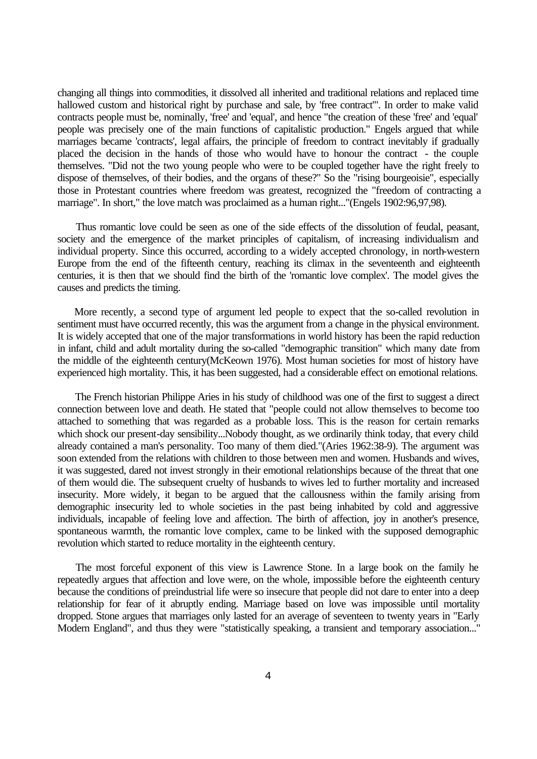changing all things into commodities, it dissolved all inherited and traditional relations and replaced time hallowed custom and historical right by purchase and sale, by 'free contract'". In order to make valid contracts people must be, nominally, 'free' and 'equal', and hence "the creation of these 'free' and 'equal' people was precisely one of the main functions of capitalistic production." Engels argued that while marriages became 'contracts', legal affairs, the principle of freedom to contract inevitably if gradually placed the decision in the hands of those who would have to honour the contract - the couple themselves. "Did not the two young people who were to be coupled together have the right freely to dispose of themselves, of their bodies, and the organs of these?" So the "rising bourgeoisie", especially those in Protestant countries where freedom was greatest, recognized the "freedom of contracting a marriage". In short," the love match was proclaimed as a human right..."(Engels 1902:96,97,98).

 Thus romantic love could be seen as one of the side effects of the dissolution of feudal, peasant, society and the emergence of the market principles of capitalism, of increasing individualism and individual property. Since this occurred, according to a widely accepted chronology, in north-western Europe from the end of the fifteenth century, reaching its climax in the seventeenth and eighteenth centuries, it is then that we should find the birth of the 'romantic love complex'. The model gives the causes and predicts the timing.

 More recently, a second type of argument led people to expect that the so-called revolution in sentiment must have occurred recently, this was the argument from a change in the physical environment. It is widely accepted that one of the major transformations in world history has been the rapid reduction in infant, child and adult mortality during the so-called "demographic transition" which many date from the middle of the eighteenth century(McKeown 1976). Most human societies for most of history have experienced high mortality. This, it has been suggested, had a considerable effect on emotional relations.

 The French historian Philippe Aries in his study of childhood was one of the first to suggest a direct connection between love and death. He stated that "people could not allow themselves to become too attached to something that was regarded as a probable loss. This is the reason for certain remarks which shock our present-day sensibility...Nobody thought, as we ordinarily think today, that every child already contained a man's personality. Too many of them died."(Aries 1962:38-9). The argument was soon extended from the relations with children to those between men and women. Husbands and wives, it was suggested, dared not invest strongly in their emotional relationships because of the threat that one of them would die. The subsequent cruelty of husbands to wives led to further mortality and increased insecurity. More widely, it began to be argued that the callousness within the family arising from demographic insecurity led to whole societies in the past being inhabited by cold and aggressive individuals, incapable of feeling love and affection. The birth of affection, joy in another's presence, spontaneous warmth, the romantic love complex, came to be linked with the supposed demographic revolution which started to reduce mortality in the eighteenth century.

 The most forceful exponent of this view is Lawrence Stone. In a large book on the family he repeatedly argues that affection and love were, on the whole, impossible before the eighteenth century because the conditions of preindustrial life were so insecure that people did not dare to enter into a deep relationship for fear of it abruptly ending. Marriage based on love was impossible until mortality dropped. Stone argues that marriages only lasted for an average of seventeen to twenty years in "Early Modern England", and thus they were "statistically speaking, a transient and temporary association..."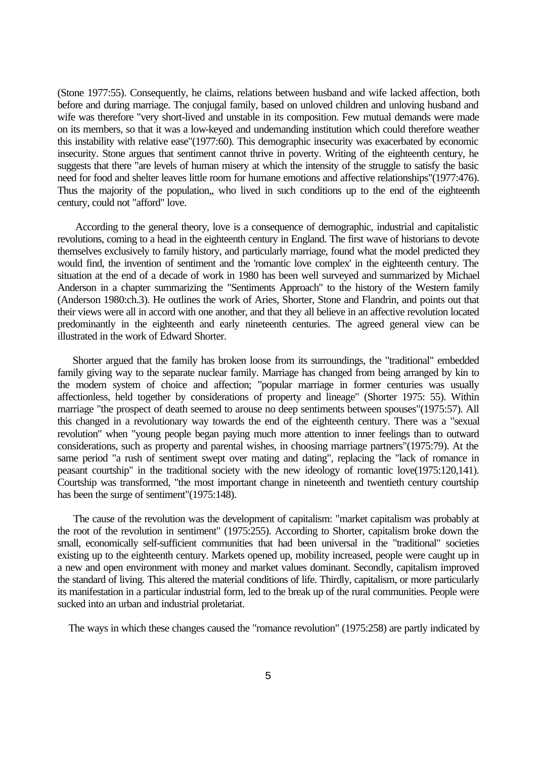(Stone 1977:55). Consequently, he claims, relations between husband and wife lacked affection, both before and during marriage. The conjugal family, based on unloved children and unloving husband and wife was therefore "very short-lived and unstable in its composition. Few mutual demands were made on its members, so that it was a low-keyed and undemanding institution which could therefore weather this instability with relative ease"(1977:60). This demographic insecurity was exacerbated by economic insecurity. Stone argues that sentiment cannot thrive in poverty. Writing of the eighteenth century, he suggests that there "are levels of human misery at which the intensity of the struggle to satisfy the basic need for food and shelter leaves little room for humane emotions and affective relationships"(1977:476). Thus the majority of the population,, who lived in such conditions up to the end of the eighteenth century, could not "afford" love.

 According to the general theory, love is a consequence of demographic, industrial and capitalistic revolutions, coming to a head in the eighteenth century in England. The first wave of historians to devote themselves exclusively to family history, and particularly marriage, found what the model predicted they would find, the invention of sentiment and the 'romantic love complex' in the eighteenth century. The situation at the end of a decade of work in 1980 has been well surveyed and summarized by Michael Anderson in a chapter summarizing the "Sentiments Approach" to the history of the Western family (Anderson 1980:ch.3). He outlines the work of Aries, Shorter, Stone and Flandrin, and points out that their views were all in accord with one another, and that they all believe in an affective revolution located predominantly in the eighteenth and early nineteenth centuries. The agreed general view can be illustrated in the work of Edward Shorter.

 Shorter argued that the family has broken loose from its surroundings, the "traditional" embedded family giving way to the separate nuclear family. Marriage has changed from being arranged by kin to the modern system of choice and affection; "popular marriage in former centuries was usually affectionless, held together by considerations of property and lineage" (Shorter 1975: 55). Within marriage "the prospect of death seemed to arouse no deep sentiments between spouses"(1975:57). All this changed in a revolutionary way towards the end of the eighteenth century. There was a "sexual revolution" when "young people began paying much more attention to inner feelings than to outward considerations, such as property and parental wishes, in choosing marriage partners"(1975:79). At the same period "a rush of sentiment swept over mating and dating", replacing the "lack of romance in peasant courtship" in the traditional society with the new ideology of romantic love(1975:120,141). Courtship was transformed, "the most important change in nineteenth and twentieth century courtship has been the surge of sentiment"(1975:148).

 The cause of the revolution was the development of capitalism: "market capitalism was probably at the root of the revolution in sentiment" (1975:255). According to Shorter, capitalism broke down the small, economically self-sufficient communities that had been universal in the "traditional" societies existing up to the eighteenth century. Markets opened up, mobility increased, people were caught up in a new and open environment with money and market values dominant. Secondly, capitalism improved the standard of living. This altered the material conditions of life. Thirdly, capitalism, or more particularly its manifestation in a particular industrial form, led to the break up of the rural communities. People were sucked into an urban and industrial proletariat.

The ways in which these changes caused the "romance revolution" (1975:258) are partly indicated by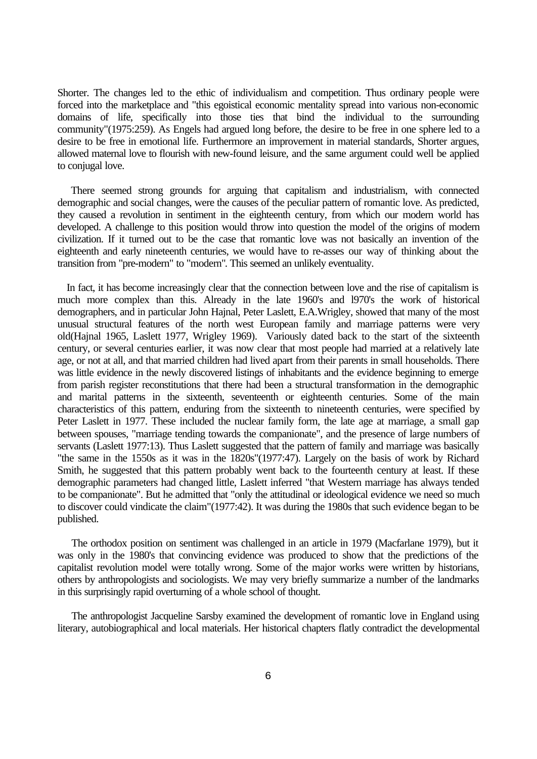Shorter. The changes led to the ethic of individualism and competition. Thus ordinary people were forced into the marketplace and "this egoistical economic mentality spread into various non-economic domains of life, specifically into those ties that bind the individual to the surrounding community"(1975:259). As Engels had argued long before, the desire to be free in one sphere led to a desire to be free in emotional life. Furthermore an improvement in material standards, Shorter argues, allowed maternal love to flourish with new-found leisure, and the same argument could well be applied to conjugal love.

 There seemed strong grounds for arguing that capitalism and industrialism, with connected demographic and social changes, were the causes of the peculiar pattern of romantic love. As predicted, they caused a revolution in sentiment in the eighteenth century, from which our modern world has developed. A challenge to this position would throw into question the model of the origins of modern civilization. If it turned out to be the case that romantic love was not basically an invention of the eighteenth and early nineteenth centuries, we would have to re-asses our way of thinking about the transition from "pre-modern" to "modern". This seemed an unlikely eventuality.

 In fact, it has become increasingly clear that the connection between love and the rise of capitalism is much more complex than this. Already in the late 1960's and l970's the work of historical demographers, and in particular John Hajnal, Peter Laslett, E.A.Wrigley, showed that many of the most unusual structural features of the north west European family and marriage patterns were very old(Hajnal 1965, Laslett 1977, Wrigley 1969). Variously dated back to the start of the sixteenth century, or several centuries earlier, it was now clear that most people had married at a relatively late age, or not at all, and that married children had lived apart from their parents in small households. There was little evidence in the newly discovered listings of inhabitants and the evidence beginning to emerge from parish register reconstitutions that there had been a structural transformation in the demographic and marital patterns in the sixteenth, seventeenth or eighteenth centuries. Some of the main characteristics of this pattern, enduring from the sixteenth to nineteenth centuries, were specified by Peter Laslett in 1977. These included the nuclear family form, the late age at marriage, a small gap between spouses, "marriage tending towards the companionate", and the presence of large numbers of servants (Laslett 1977:13). Thus Laslett suggested that the pattern of family and marriage was basically "the same in the 1550s as it was in the 1820s"(1977:47). Largely on the basis of work by Richard Smith, he suggested that this pattern probably went back to the fourteenth century at least. If these demographic parameters had changed little, Laslett inferred "that Western marriage has always tended to be companionate". But he admitted that "only the attitudinal or ideological evidence we need so much to discover could vindicate the claim"(1977:42). It was during the 1980s that such evidence began to be published.

 The orthodox position on sentiment was challenged in an article in 1979 (Macfarlane 1979), but it was only in the 1980's that convincing evidence was produced to show that the predictions of the capitalist revolution model were totally wrong. Some of the major works were written by historians, others by anthropologists and sociologists. We may very briefly summarize a number of the landmarks in this surprisingly rapid overturning of a whole school of thought.

 The anthropologist Jacqueline Sarsby examined the development of romantic love in England using literary, autobiographical and local materials. Her historical chapters flatly contradict the developmental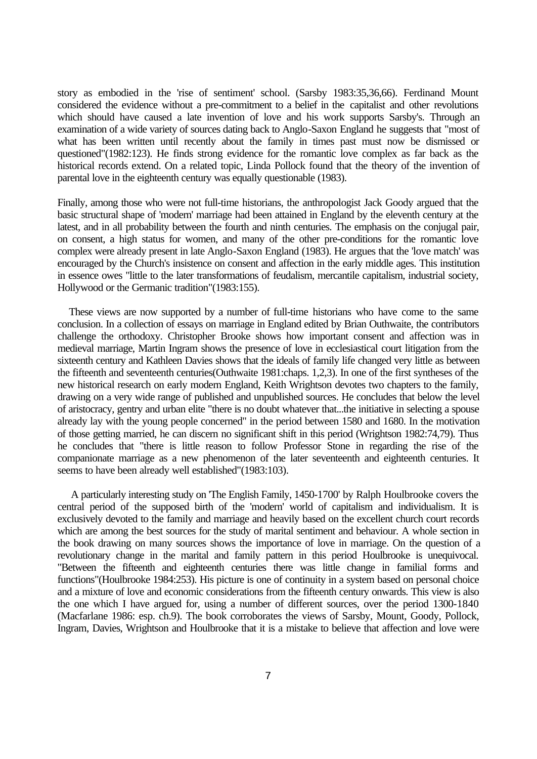story as embodied in the 'rise of sentiment' school. (Sarsby 1983:35,36,66). Ferdinand Mount considered the evidence without a pre-commitment to a belief in the capitalist and other revolutions which should have caused a late invention of love and his work supports Sarsby's. Through an examination of a wide variety of sources dating back to Anglo-Saxon England he suggests that "most of what has been written until recently about the family in times past must now be dismissed or questioned"(1982:123). He finds strong evidence for the romantic love complex as far back as the historical records extend. On a related topic, Linda Pollock found that the theory of the invention of parental love in the eighteenth century was equally questionable (1983).

Finally, among those who were not full-time historians, the anthropologist Jack Goody argued that the basic structural shape of 'modern' marriage had been attained in England by the eleventh century at the latest, and in all probability between the fourth and ninth centuries. The emphasis on the conjugal pair, on consent, a high status for women, and many of the other pre-conditions for the romantic love complex were already present in late Anglo-Saxon England (1983). He argues that the 'love match' was encouraged by the Church's insistence on consent and affection in the early middle ages. This institution in essence owes "little to the later transformations of feudalism, mercantile capitalism, industrial society, Hollywood or the Germanic tradition"(1983:155).

 These views are now supported by a number of full-time historians who have come to the same conclusion. In a collection of essays on marriage in England edited by Brian Outhwaite, the contributors challenge the orthodoxy. Christopher Brooke shows how important consent and affection was in medieval marriage, Martin Ingram shows the presence of love in ecclesiastical court litigation from the sixteenth century and Kathleen Davies shows that the ideals of family life changed very little as between the fifteenth and seventeenth centuries(Outhwaite 1981:chaps. 1,2,3). In one of the first syntheses of the new historical research on early modern England, Keith Wrightson devotes two chapters to the family, drawing on a very wide range of published and unpublished sources. He concludes that below the level of aristocracy, gentry and urban elite "there is no doubt whatever that...the initiative in selecting a spouse already lay with the young people concerned" in the period between 1580 and 1680. In the motivation of those getting married, he can discern no significant shift in this period (Wrightson 1982:74,79). Thus he concludes that "there is little reason to follow Professor Stone in regarding the rise of the companionate marriage as a new phenomenon of the later seventeenth and eighteenth centuries. It seems to have been already well established"(1983:103).

 A particularly interesting study on 'The English Family, 1450-1700' by Ralph Houlbrooke covers the central period of the supposed birth of the 'modern' world of capitalism and individualism. It is exclusively devoted to the family and marriage and heavily based on the excellent church court records which are among the best sources for the study of marital sentiment and behaviour. A whole section in the book drawing on many sources shows the importance of love in marriage. On the question of a revolutionary change in the marital and family pattern in this period Houlbrooke is unequivocal. "Between the fifteenth and eighteenth centuries there was little change in familial forms and functions"(Houlbrooke 1984:253). His picture is one of continuity in a system based on personal choice and a mixture of love and economic considerations from the fifteenth century onwards. This view is also the one which I have argued for, using a number of different sources, over the period 1300-1840 (Macfarlane 1986: esp. ch.9). The book corroborates the views of Sarsby, Mount, Goody, Pollock, Ingram, Davies, Wrightson and Houlbrooke that it is a mistake to believe that affection and love were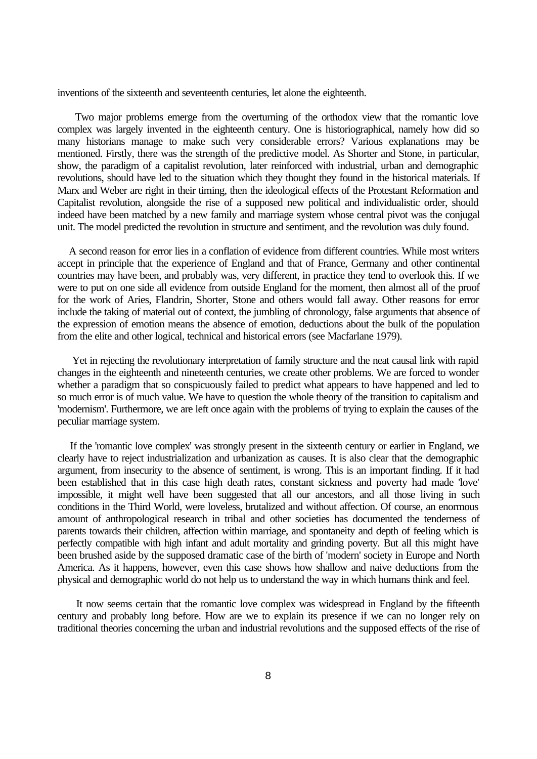inventions of the sixteenth and seventeenth centuries, let alone the eighteenth.

 Two major problems emerge from the overturning of the orthodox view that the romantic love complex was largely invented in the eighteenth century. One is historiographical, namely how did so many historians manage to make such very considerable errors? Various explanations may be mentioned. Firstly, there was the strength of the predictive model. As Shorter and Stone, in particular, show, the paradigm of a capitalist revolution, later reinforced with industrial, urban and demographic revolutions, should have led to the situation which they thought they found in the historical materials. If Marx and Weber are right in their timing, then the ideological effects of the Protestant Reformation and Capitalist revolution, alongside the rise of a supposed new political and individualistic order, should indeed have been matched by a new family and marriage system whose central pivot was the conjugal unit. The model predicted the revolution in structure and sentiment, and the revolution was duly found.

 A second reason for error lies in a conflation of evidence from different countries. While most writers accept in principle that the experience of England and that of France, Germany and other continental countries may have been, and probably was, very different, in practice they tend to overlook this. If we were to put on one side all evidence from outside England for the moment, then almost all of the proof for the work of Aries, Flandrin, Shorter, Stone and others would fall away. Other reasons for error include the taking of material out of context, the jumbling of chronology, false arguments that absence of the expression of emotion means the absence of emotion, deductions about the bulk of the population from the elite and other logical, technical and historical errors (see Macfarlane 1979).

 Yet in rejecting the revolutionary interpretation of family structure and the neat causal link with rapid changes in the eighteenth and nineteenth centuries, we create other problems. We are forced to wonder whether a paradigm that so conspicuously failed to predict what appears to have happened and led to so much error is of much value. We have to question the whole theory of the transition to capitalism and 'modernism'. Furthermore, we are left once again with the problems of trying to explain the causes of the peculiar marriage system.

 If the 'romantic love complex' was strongly present in the sixteenth century or earlier in England, we clearly have to reject industrialization and urbanization as causes. It is also clear that the demographic argument, from insecurity to the absence of sentiment, is wrong. This is an important finding. If it had been established that in this case high death rates, constant sickness and poverty had made 'love' impossible, it might well have been suggested that all our ancestors, and all those living in such conditions in the Third World, were loveless, brutalized and without affection. Of course, an enormous amount of anthropological research in tribal and other societies has documented the tenderness of parents towards their children, affection within marriage, and spontaneity and depth of feeling which is perfectly compatible with high infant and adult mortality and grinding poverty. But all this might have been brushed aside by the supposed dramatic case of the birth of 'modern' society in Europe and North America. As it happens, however, even this case shows how shallow and naive deductions from the physical and demographic world do not help us to understand the way in which humans think and feel.

 It now seems certain that the romantic love complex was widespread in England by the fifteenth century and probably long before. How are we to explain its presence if we can no longer rely on traditional theories concerning the urban and industrial revolutions and the supposed effects of the rise of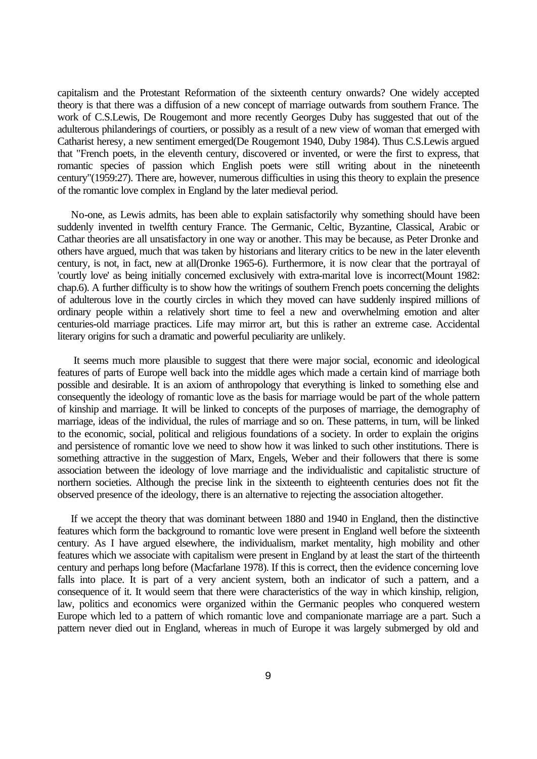capitalism and the Protestant Reformation of the sixteenth century onwards? One widely accepted theory is that there was a diffusion of a new concept of marriage outwards from southern France. The work of C.S.Lewis, De Rougemont and more recently Georges Duby has suggested that out of the adulterous philanderings of courtiers, or possibly as a result of a new view of woman that emerged with Catharist heresy, a new sentiment emerged(De Rougemont 1940, Duby 1984). Thus C.S.Lewis argued that "French poets, in the eleventh century, discovered or invented, or were the first to express, that romantic species of passion which English poets were still writing about in the nineteenth century"(1959:27). There are, however, numerous difficulties in using this theory to explain the presence of the romantic love complex in England by the later medieval period.

 No-one, as Lewis admits, has been able to explain satisfactorily why something should have been suddenly invented in twelfth century France. The Germanic, Celtic, Byzantine, Classical, Arabic or Cathar theories are all unsatisfactory in one way or another. This may be because, as Peter Dronke and others have argued, much that was taken by historians and literary critics to be new in the later eleventh century, is not, in fact, new at all(Dronke 1965-6). Furthermore, it is now clear that the portrayal of 'courtly love' as being initially concerned exclusively with extra-marital love is incorrect(Mount 1982: chap.6). A further difficulty is to show how the writings of southern French poets concerning the delights of adulterous love in the courtly circles in which they moved can have suddenly inspired millions of ordinary people within a relatively short time to feel a new and overwhelming emotion and alter centuries-old marriage practices. Life may mirror art, but this is rather an extreme case. Accidental literary origins for such a dramatic and powerful peculiarity are unlikely.

 It seems much more plausible to suggest that there were major social, economic and ideological features of parts of Europe well back into the middle ages which made a certain kind of marriage both possible and desirable. It is an axiom of anthropology that everything is linked to something else and consequently the ideology of romantic love as the basis for marriage would be part of the whole pattern of kinship and marriage. It will be linked to concepts of the purposes of marriage, the demography of marriage, ideas of the individual, the rules of marriage and so on. These patterns, in turn, will be linked to the economic, social, political and religious foundations of a society. In order to explain the origins and persistence of romantic love we need to show how it was linked to such other institutions. There is something attractive in the suggestion of Marx, Engels, Weber and their followers that there is some association between the ideology of love marriage and the individualistic and capitalistic structure of northern societies. Although the precise link in the sixteenth to eighteenth centuries does not fit the observed presence of the ideology, there is an alternative to rejecting the association altogether.

 If we accept the theory that was dominant between 1880 and 1940 in England, then the distinctive features which form the background to romantic love were present in England well before the sixteenth century. As I have argued elsewhere, the individualism, market mentality, high mobility and other features which we associate with capitalism were present in England by at least the start of the thirteenth century and perhaps long before (Macfarlane 1978). If this is correct, then the evidence concerning love falls into place. It is part of a very ancient system, both an indicator of such a pattern, and a consequence of it. It would seem that there were characteristics of the way in which kinship, religion, law, politics and economics were organized within the Germanic peoples who conquered western Europe which led to a pattern of which romantic love and companionate marriage are a part. Such a pattern never died out in England, whereas in much of Europe it was largely submerged by old and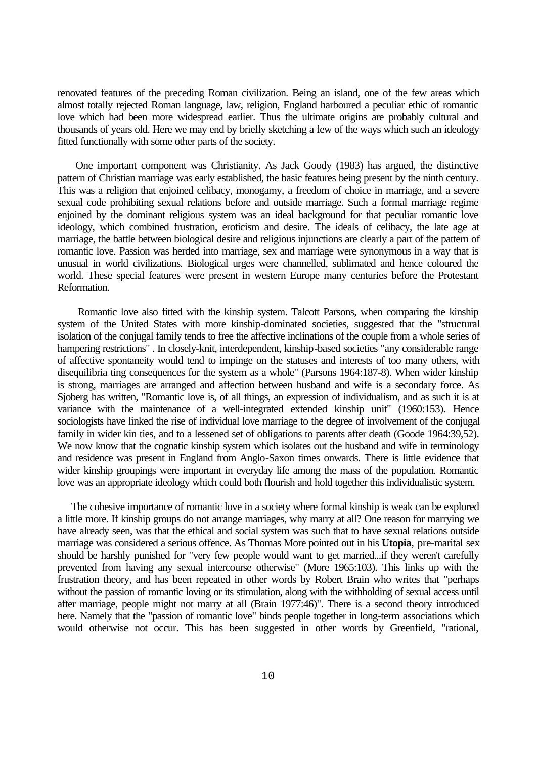renovated features of the preceding Roman civilization. Being an island, one of the few areas which almost totally rejected Roman language, law, religion, England harboured a peculiar ethic of romantic love which had been more widespread earlier. Thus the ultimate origins are probably cultural and thousands of years old. Here we may end by briefly sketching a few of the ways which such an ideology fitted functionally with some other parts of the society.

 One important component was Christianity. As Jack Goody (1983) has argued, the distinctive pattern of Christian marriage was early established, the basic features being present by the ninth century. This was a religion that enjoined celibacy, monogamy, a freedom of choice in marriage, and a severe sexual code prohibiting sexual relations before and outside marriage. Such a formal marriage regime enjoined by the dominant religious system was an ideal background for that peculiar romantic love ideology, which combined frustration, eroticism and desire. The ideals of celibacy, the late age at marriage, the battle between biological desire and religious injunctions are clearly a part of the pattern of romantic love. Passion was herded into marriage, sex and marriage were synonymous in a way that is unusual in world civilizations. Biological urges were channelled, sublimated and hence coloured the world. These special features were present in western Europe many centuries before the Protestant Reformation.

 Romantic love also fitted with the kinship system. Talcott Parsons, when comparing the kinship system of the United States with more kinship-dominated societies, suggested that the "structural isolation of the conjugal family tends to free the affective inclinations of the couple from a whole series of hampering restrictions" . In closely-knit, interdependent, kinship-based societies "any considerable range of affective spontaneity would tend to impinge on the statuses and interests of too many others, with disequilibria ting consequences for the system as a whole" (Parsons 1964:187-8). When wider kinship is strong, marriages are arranged and affection between husband and wife is a secondary force. As Sjoberg has written, "Romantic love is, of all things, an expression of individualism, and as such it is at variance with the maintenance of a well-integrated extended kinship unit" (1960:153). Hence sociologists have linked the rise of individual love marriage to the degree of involvement of the conjugal family in wider kin ties, and to a lessened set of obligations to parents after death (Goode 1964:39,52). We now know that the cognatic kinship system which isolates out the husband and wife in terminology and residence was present in England from Anglo-Saxon times onwards. There is little evidence that wider kinship groupings were important in everyday life among the mass of the population. Romantic love was an appropriate ideology which could both flourish and hold together this individualistic system.

 The cohesive importance of romantic love in a society where formal kinship is weak can be explored a little more. If kinship groups do not arrange marriages, why marry at all? One reason for marrying we have already seen, was that the ethical and social system was such that to have sexual relations outside marriage was considered a serious offence. As Thomas More pointed out in his **Utopia**, pre-marital sex should be harshly punished for "very few people would want to get married...if they weren't carefully prevented from having any sexual intercourse otherwise" (More 1965:103). This links up with the frustration theory, and has been repeated in other words by Robert Brain who writes that "perhaps without the passion of romantic loving or its stimulation, along with the withholding of sexual access until after marriage, people might not marry at all (Brain 1977:46)". There is a second theory introduced here. Namely that the "passion of romantic love" binds people together in long-term associations which would otherwise not occur. This has been suggested in other words by Greenfield, "rational,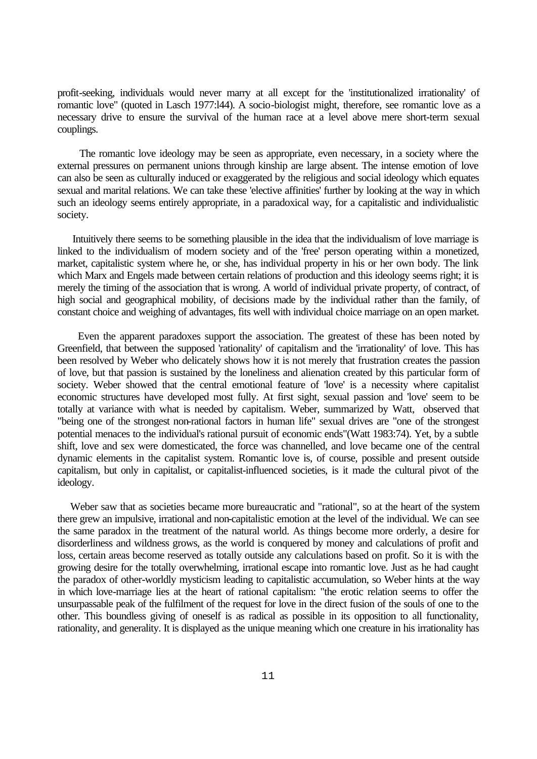profit-seeking, individuals would never marry at all except for the 'institutionalized irrationality' of romantic love" (quoted in Lasch 1977:l44). A socio-biologist might, therefore, see romantic love as a necessary drive to ensure the survival of the human race at a level above mere short-term sexual couplings.

 The romantic love ideology may be seen as appropriate, even necessary, in a society where the external pressures on permanent unions through kinship are large absent. The intense emotion of love can also be seen as culturally induced or exaggerated by the religious and social ideology which equates sexual and marital relations. We can take these 'elective affinities' further by looking at the way in which such an ideology seems entirely appropriate, in a paradoxical way, for a capitalistic and individualistic society.

 Intuitively there seems to be something plausible in the idea that the individualism of love marriage is linked to the individualism of modern society and of the 'free' person operating within a monetized, market, capitalistic system where he, or she, has individual property in his or her own body. The link which Marx and Engels made between certain relations of production and this ideology seems right; it is merely the timing of the association that is wrong. A world of individual private property, of contract, of high social and geographical mobility, of decisions made by the individual rather than the family, of constant choice and weighing of advantages, fits well with individual choice marriage on an open market.

 Even the apparent paradoxes support the association. The greatest of these has been noted by Greenfield, that between the supposed 'rationality' of capitalism and the 'irrationality' of love. This has been resolved by Weber who delicately shows how it is not merely that frustration creates the passion of love, but that passion is sustained by the loneliness and alienation created by this particular form of society. Weber showed that the central emotional feature of 'love' is a necessity where capitalist economic structures have developed most fully. At first sight, sexual passion and 'love' seem to be totally at variance with what is needed by capitalism. Weber, summarized by Watt, observed that "being one of the strongest non-rational factors in human life" sexual drives are "one of the strongest potential menaces to the individual's rational pursuit of economic ends"(Watt 1983:74). Yet, by a subtle shift, love and sex were domesticated, the force was channelled, and love became one of the central dynamic elements in the capitalist system. Romantic love is, of course, possible and present outside capitalism, but only in capitalist, or capitalist-influenced societies, is it made the cultural pivot of the ideology.

 Weber saw that as societies became more bureaucratic and "rational", so at the heart of the system there grew an impulsive, irrational and non-capitalistic emotion at the level of the individual. We can see the same paradox in the treatment of the natural world. As things become more orderly, a desire for disorderliness and wildness grows, as the world is conquered by money and calculations of profit and loss, certain areas become reserved as totally outside any calculations based on profit. So it is with the growing desire for the totally overwhelming, irrational escape into romantic love. Just as he had caught the paradox of other-worldly mysticism leading to capitalistic accumulation, so Weber hints at the way in which love-marriage lies at the heart of rational capitalism: "the erotic relation seems to offer the unsurpassable peak of the fulfilment of the request for love in the direct fusion of the souls of one to the other. This boundless giving of oneself is as radical as possible in its opposition to all functionality, rationality, and generality. It is displayed as the unique meaning which one creature in his irrationality has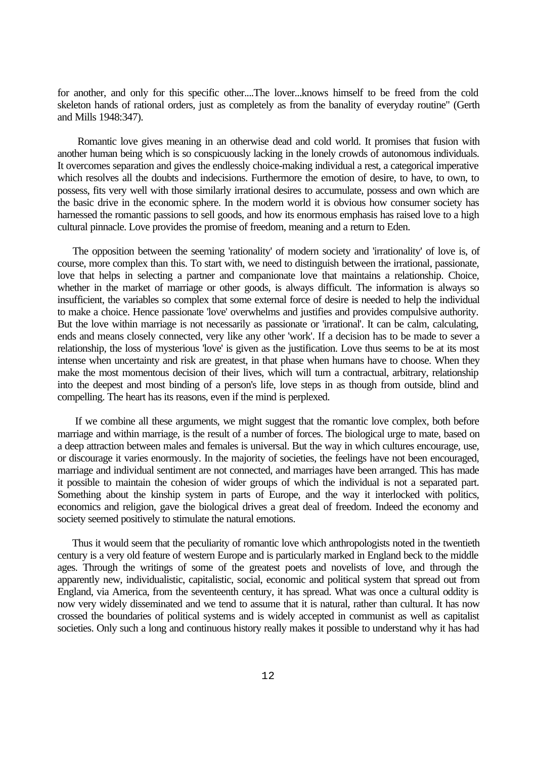for another, and only for this specific other....The lover...knows himself to be freed from the cold skeleton hands of rational orders, just as completely as from the banality of everyday routine" (Gerth and Mills 1948:347).

 Romantic love gives meaning in an otherwise dead and cold world. It promises that fusion with another human being which is so conspicuously lacking in the lonely crowds of autonomous individuals. It overcomes separation and gives the endlessly choice-making individual a rest, a categorical imperative which resolves all the doubts and indecisions. Furthermore the emotion of desire, to have, to own, to possess, fits very well with those similarly irrational desires to accumulate, possess and own which are the basic drive in the economic sphere. In the modern world it is obvious how consumer society has harnessed the romantic passions to sell goods, and how its enormous emphasis has raised love to a high cultural pinnacle. Love provides the promise of freedom, meaning and a return to Eden.

 The opposition between the seeming 'rationality' of modern society and 'irrationality' of love is, of course, more complex than this. To start with, we need to distinguish between the irrational, passionate, love that helps in selecting a partner and companionate love that maintains a relationship. Choice, whether in the market of marriage or other goods, is always difficult. The information is always so insufficient, the variables so complex that some external force of desire is needed to help the individual to make a choice. Hence passionate 'love' overwhelms and justifies and provides compulsive authority. But the love within marriage is not necessarily as passionate or 'irrational'. It can be calm, calculating, ends and means closely connected, very like any other 'work'. If a decision has to be made to sever a relationship, the loss of mysterious 'love' is given as the justification. Love thus seems to be at its most intense when uncertainty and risk are greatest, in that phase when humans have to choose. When they make the most momentous decision of their lives, which will turn a contractual, arbitrary, relationship into the deepest and most binding of a person's life, love steps in as though from outside, blind and compelling. The heart has its reasons, even if the mind is perplexed.

 If we combine all these arguments, we might suggest that the romantic love complex, both before marriage and within marriage, is the result of a number of forces. The biological urge to mate, based on a deep attraction between males and females is universal. But the way in which cultures encourage, use, or discourage it varies enormously. In the majority of societies, the feelings have not been encouraged, marriage and individual sentiment are not connected, and marriages have been arranged. This has made it possible to maintain the cohesion of wider groups of which the individual is not a separated part. Something about the kinship system in parts of Europe, and the way it interlocked with politics, economics and religion, gave the biological drives a great deal of freedom. Indeed the economy and society seemed positively to stimulate the natural emotions.

 Thus it would seem that the peculiarity of romantic love which anthropologists noted in the twentieth century is a very old feature of western Europe and is particularly marked in England beck to the middle ages. Through the writings of some of the greatest poets and novelists of love, and through the apparently new, individualistic, capitalistic, social, economic and political system that spread out from England, via America, from the seventeenth century, it has spread. What was once a cultural oddity is now very widely disseminated and we tend to assume that it is natural, rather than cultural. It has now crossed the boundaries of political systems and is widely accepted in communist as well as capitalist societies. Only such a long and continuous history really makes it possible to understand why it has had